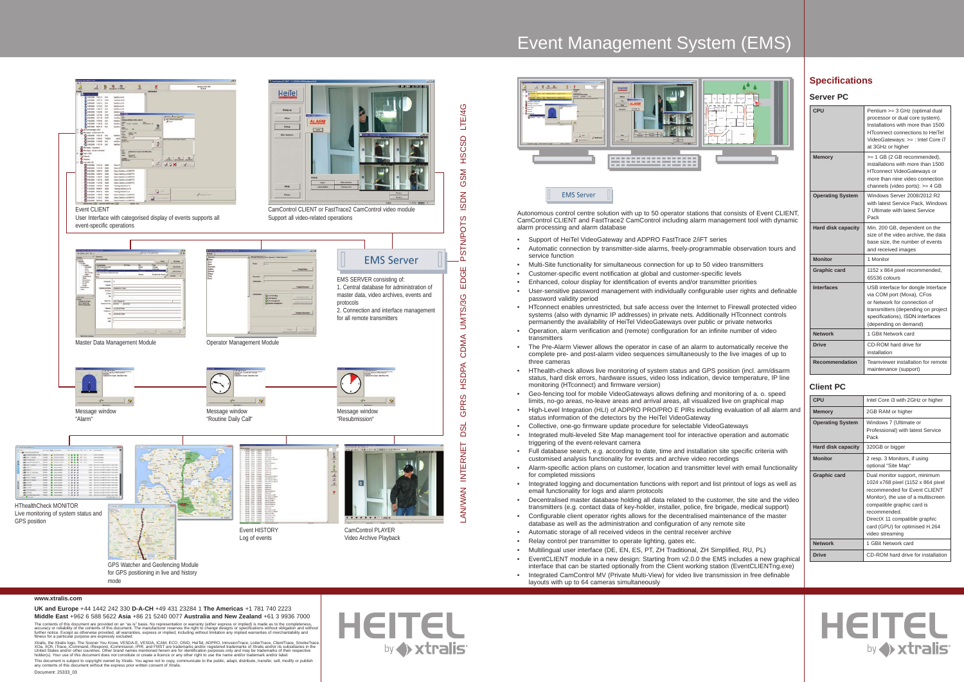Document: 25333\_03

**HEITE** by <>> xtralis

- 
- 
- 

#### **www.xtralis.com**

**UK and Europe** +44 1442 242 330 **D-A-CH** +49 431 23284 1 **The Americas** +1 781 740 2223 **Middle East** +962 6 588 5622 **Asia** +86 21 5240 0077 **Australia and New Zealand** +61 3 9936 7000

The contents of this document are provided on an "as is" basis. No representation or warranty (either express or implied) is made a completeness,<br>accuracy or reliability of the contents of this document. The manufacturer r

Xtralis, the Xtralis logo, The Sooner You Know, VESDA-E, VESDA, ICAM, ECO, OSID, HeiTel, ADPRO, IntusionTrace, LotierTrace, SmokeTrace, SmokeTrace, SmokeTrace, SmokeTrace, SmokeTrace, SmokeTrace, SmokeTrace, SmokeTrace, Sm

This document is subject to copyright owned by Xtralis. You agree not to copy, communicate to the public, adapt, distribute, transfer, sell, modify or publish<br>any contents of this document without the express prior written

Autonomous control centre solution with up to 50 operator stations that consists of Event CLIENT, CamControl CLIENT and FastTrace2 CamControl including alarm management tool with dynamic alarm processing and alarm database

- Support of HeiTel VideoGateway and ADPRO FastTrace 2/iFT series
- Automatic connection by transmitter-side alarms, freely-programmable observation tours and service function
- Multi-Site functionality for simultaneous connection for up to 50 video transmitters
- Customer-specific event notification at global and customer-specific levels
- Enhanced, colour display for identification of events and/or transmitter priorities
- 
- User-sensitive password management with individually configurable user rights and definable password validity period
- HTconnect enables unrestricted, but safe access over the Internet to Firewall protected video systems (also with dynamic IP addresses) in private nets. Additionally HTconnect controls permanently the availability of HeiTel VideoGateways over public or private networks
- Operation, alarm verification and (remote) configuration for an infinite number of video transmitters
- The Pre-Alarm Viewer allows the operator in case of an alarm to automatically receive the complete pre- and post-alarm video sequences simultaneously to the live images of up to three cameras
- HThealth-check allows live monitoring of system status and GPS position (incl. arm/disarm status, hard disk errors, hardware issues, video loss indication, device temperature, IP line monitoring (HTconnect) and firmware version)
- Geo-fencing tool for mobile VideoGateways allows defining and monitoring of a. o. speed limits, no-go areas, no-leave areas and arrival areas, all visualized live on graphical map
- High-Level Integration (HLI) of ADPRO PRO/PRO E PIRs including evaluation of all alarm and status information of the detectors by the HeiTel VideoGateway
- Collective, one-go firmware update procedure for selectable VideoGateways
- Integrated multi-leveled Site Map management tool for interactive operation and automatic triggering of the event-relevant camera
- Full database search, e.g. according to date, time and installation site specific criteria with customised analysis functionality for events and archive video recordings
- Alarm-specific action plans on customer, location and transmitter level with email functionality for completed missions
- Integrated logging and documentation functions with report and list printout of logs as well as email functionality for logs and alarm protocols
- Decentralised master database holding all data related to the customer, the site and the video transmitters (e.g. contact data of key-holder, installer, police, fire brigade, medical support)
- Configurable client operator rights allows for the decentralised maintenance of the master database as well as the administration and configuration of any remote site
- Automatic storage of all received videos in the central receiver archive
- Relay control per transmitter to operate lighting, gates etc.
- Multilingual user interface (DE, EN, ES, PT, ZH Traditional, ZH Simplified, RU, PL) • EventCLIENT module in a new design: Starting from v2.0.0 the EMS includes a new graphical interface that can be started optionally from the Client working station (EventCLIENTng.exe)
- Integrated CamControl MV (Private Multi-View) for video live transmission in free definable layouts with up to 64 cameras simultaneously

# Event Management System (EMS)



**EMS Server** 

## **Specifications**

#### **Server PC**

| CPU                       | Pentium >= 3 GHz (optimal dual<br>processor or dual core system).<br>Installations with more than 1500<br><b>HTconnect connections to HeiTel</b><br>VideoGateways: >= : Intel Core i7<br>at 3GHz or higher |
|---------------------------|------------------------------------------------------------------------------------------------------------------------------------------------------------------------------------------------------------|
| <b>Memory</b>             | >= 1 GB (2 GB recommended),<br>installations with more than 1500<br>HTconnect VideoGateways or<br>more than nine video connection<br>channels (video ports): >= 4 GB                                       |
| <b>Operating System</b>   | Windows Server 2008/2012 R2<br>with latest Service Pack, Windows<br>7 Ultimate with latest Service<br>Pack                                                                                                 |
| <b>Hard disk capacity</b> | Min. 200 GB, dependent on the<br>size of the video archive, the data<br>base size, the number of events<br>and received images                                                                             |
| <b>Monitor</b>            | 1 Monitor                                                                                                                                                                                                  |
| <b>Graphic card</b>       | 1152 x 864 pixel recommended,<br>65536 colours                                                                                                                                                             |
| <b>Interfaces</b>         | USB interface for dongle Interface<br>via COM port (Moxa), CFos<br>or Network for connection of<br>transmitters (depending on project<br>specifications), ISDN interfaces<br>(depending on demand)         |
| <b>Network</b>            | 1 GBit Network card                                                                                                                                                                                        |
| <b>Drive</b>              | CD-ROM hard drive for<br>installation                                                                                                                                                                      |
| <b>Recommendation</b>     | Teamviewer installation for remote<br>maintenance (support)                                                                                                                                                |

### **Client PC**

| <b>CPU</b>                | Intel Core i3 with 2GHz or higher                                                                                                                                                                                                                                             |
|---------------------------|-------------------------------------------------------------------------------------------------------------------------------------------------------------------------------------------------------------------------------------------------------------------------------|
| <b>Memory</b>             | 2GB RAM or higher                                                                                                                                                                                                                                                             |
| <b>Operating System</b>   | Windows 7 (Ultimate or<br>Professional) with latest Service<br>Pack                                                                                                                                                                                                           |
| <b>Hard disk capacity</b> | 320GB or bigger                                                                                                                                                                                                                                                               |
| <b>Monitor</b>            | 2 resp. 3 Monitors, if using<br>optional "Site Map"                                                                                                                                                                                                                           |
| Graphic card              | Dual monitor support, minimum<br>1024 x768 pixel (1152 x 864 pixel)<br>recommended for Event CLIENT<br>Monitor), the use of a multiscreen<br>compatible graphic card is<br>recommended.<br>DirectX 11 compatible graphic<br>card (GPU) for optimised H.264<br>video streaming |
| <b>Network</b>            | 1 GBit Network card                                                                                                                                                                                                                                                           |
| <b>Drive</b>              | CD-ROM hard drive for installation                                                                                                                                                                                                                                            |

**HEITEL** 

by xtralis



mode